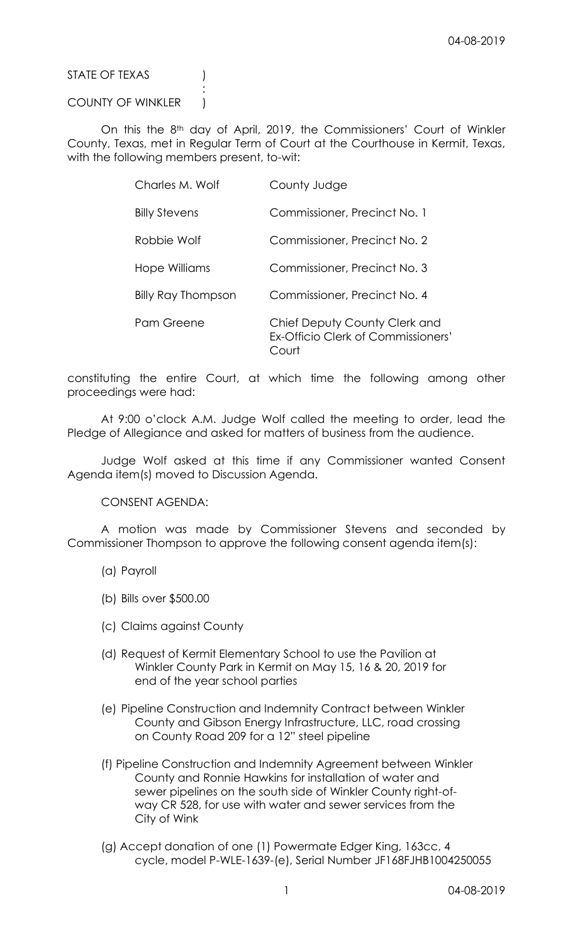STATE OF TEXAS (1)

## COUNTY OF WINKLER )

:

On this the 8th day of April, 2019, the Commissioners' Court of Winkler County, Texas, met in Regular Term of Court at the Courthouse in Kermit, Texas, with the following members present, to-wit:

| Charles M. Wolf      | County Judge                                                                        |
|----------------------|-------------------------------------------------------------------------------------|
| <b>Billy Stevens</b> | Commissioner, Precinct No. 1                                                        |
| Robbie Wolf          | Commissioner, Precinct No. 2                                                        |
| Hope Williams        | Commissioner, Precinct No. 3                                                        |
| Billy Ray Thompson   | Commissioner, Precinct No. 4                                                        |
| Pam Greene           | Chief Deputy County Clerk and<br><b>Ex-Officio Clerk of Commissioners'</b><br>Court |

constituting the entire Court, at which time the following among other proceedings were had:

At 9:00 o'clock A.M. Judge Wolf called the meeting to order, lead the Pledge of Allegiance and asked for matters of business from the audience.

Judge Wolf asked at this time if any Commissioner wanted Consent Agenda item(s) moved to Discussion Agenda.

CONSENT AGENDA:

A motion was made by Commissioner Stevens and seconded by Commissioner Thompson to approve the following consent agenda item(s):

- (a) Payroll
- (b) Bills over \$500.00
- (c) Claims against County
- (d) Request of Kermit Elementary School to use the Pavilion at Winkler County Park in Kermit on May 15, 16 & 20, 2019 for end of the year school parties
- (e) Pipeline Construction and Indemnity Contract between Winkler County and Gibson Energy Infrastructure, LLC, road crossing on County Road 209 for a 12" steel pipeline
- (f) Pipeline Construction and Indemnity Agreement between Winkler County and Ronnie Hawkins for installation of water and sewer pipelines on the south side of Winkler County right-ofway CR 528, for use with water and sewer services from the City of Wink
- (g) Accept donation of one (1) Powermate Edger King, 163cc, 4 cycle, model P-WLE-1639-(e), Serial Number JF168FJHB1004250055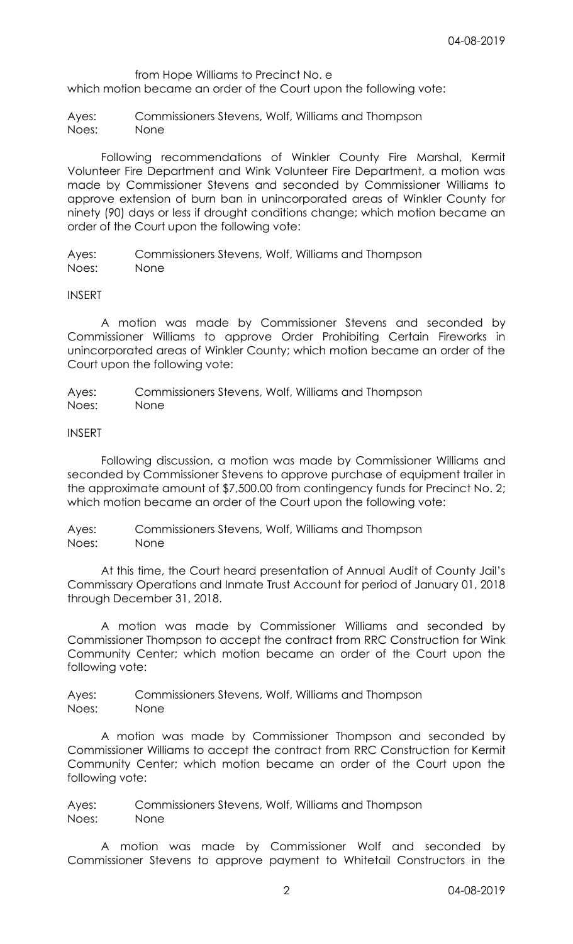from Hope Williams to Precinct No. e

which motion became an order of the Court upon the following vote:

Ayes: Commissioners Stevens, Wolf, Williams and Thompson Noes: None

Following recommendations of Winkler County Fire Marshal, Kermit Volunteer Fire Department and Wink Volunteer Fire Department, a motion was made by Commissioner Stevens and seconded by Commissioner Williams to approve extension of burn ban in unincorporated areas of Winkler County for ninety (90) days or less if drought conditions change; which motion became an order of the Court upon the following vote:

Ayes: Commissioners Stevens, Wolf, Williams and Thompson Noes: None

## INSERT

A motion was made by Commissioner Stevens and seconded by Commissioner Williams to approve Order Prohibiting Certain Fireworks in unincorporated areas of Winkler County; which motion became an order of the Court upon the following vote:

Ayes: Commissioners Stevens, Wolf, Williams and Thompson Noes: None

INSERT

Following discussion, a motion was made by Commissioner Williams and seconded by Commissioner Stevens to approve purchase of equipment trailer in the approximate amount of \$7,500.00 from contingency funds for Precinct No. 2; which motion became an order of the Court upon the following vote:

Ayes: Commissioners Stevens, Wolf, Williams and Thompson Noes: None

At this time, the Court heard presentation of Annual Audit of County Jail's Commissary Operations and Inmate Trust Account for period of January 01, 2018 through December 31, 2018.

A motion was made by Commissioner Williams and seconded by Commissioner Thompson to accept the contract from RRC Construction for Wink Community Center; which motion became an order of the Court upon the following vote:

Ayes: Commissioners Stevens, Wolf, Williams and Thompson Noes: None

A motion was made by Commissioner Thompson and seconded by Commissioner Williams to accept the contract from RRC Construction for Kermit Community Center; which motion became an order of the Court upon the following vote:

Ayes: Commissioners Stevens, Wolf, Williams and Thompson Noes: None

A motion was made by Commissioner Wolf and seconded by Commissioner Stevens to approve payment to Whitetail Constructors in the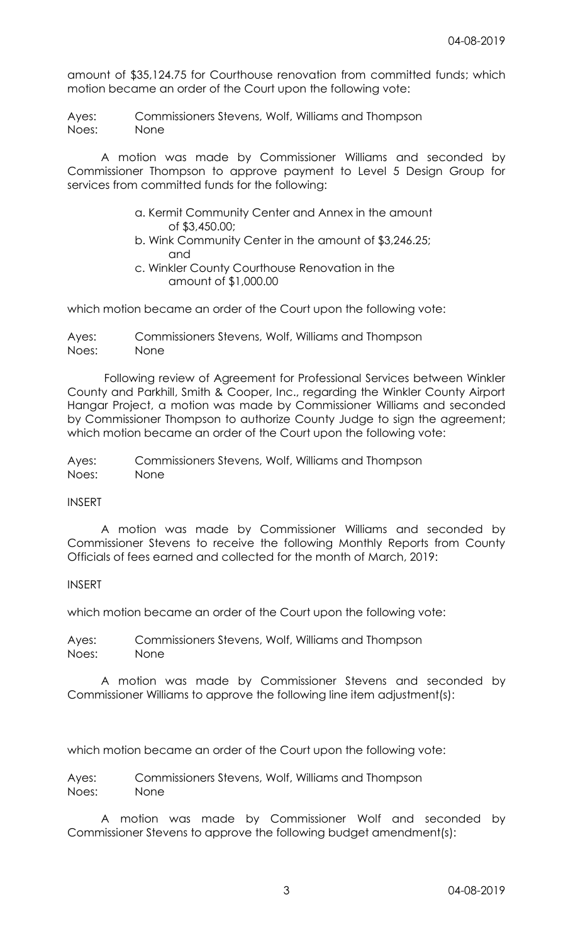amount of \$35,124.75 for Courthouse renovation from committed funds; which motion became an order of the Court upon the following vote:

Ayes: Commissioners Stevens, Wolf, Williams and Thompson Noes: None

A motion was made by Commissioner Williams and seconded by Commissioner Thompson to approve payment to Level 5 Design Group for services from committed funds for the following:

- a. Kermit Community Center and Annex in the amount of \$3,450.00;
- b. Wink Community Center in the amount of \$3,246.25; and
- c. Winkler County Courthouse Renovation in the amount of \$1,000.00

which motion became an order of the Court upon the following vote:

Ayes: Commissioners Stevens, Wolf, Williams and Thompson Noes: None

Following review of Agreement for Professional Services between Winkler County and Parkhill, Smith & Cooper, Inc., regarding the Winkler County Airport Hangar Project, a motion was made by Commissioner Williams and seconded by Commissioner Thompson to authorize County Judge to sign the agreement; which motion became an order of the Court upon the following vote:

Ayes: Commissioners Stevens, Wolf, Williams and Thompson Noes: None

INSERT

A motion was made by Commissioner Williams and seconded by Commissioner Stevens to receive the following Monthly Reports from County Officials of fees earned and collected for the month of March, 2019:

INSERT

which motion became an order of the Court upon the following vote:

Ayes: Commissioners Stevens, Wolf, Williams and Thompson Noes: None

A motion was made by Commissioner Stevens and seconded by Commissioner Williams to approve the following line item adjustment(s):

which motion became an order of the Court upon the following vote:

Ayes: Commissioners Stevens, Wolf, Williams and Thompson Noes: None

A motion was made by Commissioner Wolf and seconded by Commissioner Stevens to approve the following budget amendment(s):